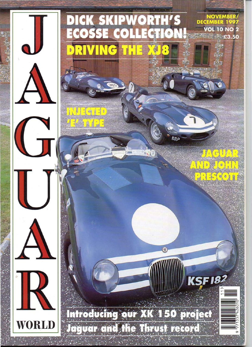## ICK SKIPWORTH'S<br>COSSE COLLECTION **NOVEMBER DECEMBER VOL 10 NO 2** £3.50 ¢ R  $\mathbf{C}$

Introducing our XK 150 project Jaguar and the Thrust record



**TAGINR** 

**AND JOHR** 

**TRESCON**